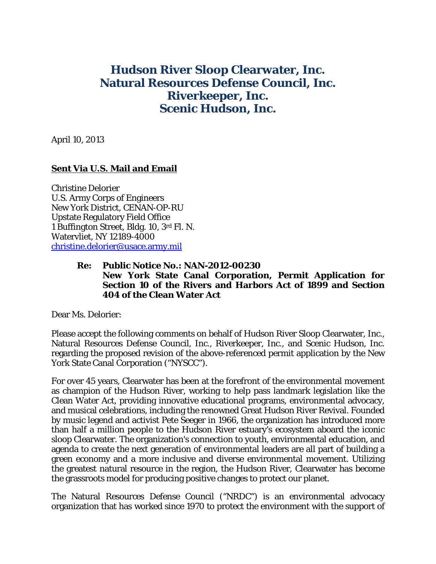## **Hudson River Sloop Clearwater, Inc. Natural Resources Defense Council, Inc. Riverkeeper, Inc. Scenic Hudson, Inc.**

April 10, 2013

## **Sent Via U.S. Mail and Email**

Christine Delorier U.S. Army Corps of Engineers New York District, CENAN-OP-RU Upstate Regulatory Field Office 1 Buffington Street, Bldg. 10, 3rd Fl. N. Watervliet, NY 12189-4000 christine.delorier@usace.army.mil

## **Re: Public Notice No.: NAN-2012-00230 New York State Canal Corporation, Permit Application for Section 10 of the Rivers and Harbors Act of 1899 and Section 404 of the Clean Water Act**

Dear Ms. Delorier:

Please accept the following comments on behalf of Hudson River Sloop Clearwater, Inc., Natural Resources Defense Council, Inc., Riverkeeper, Inc., and Scenic Hudson, Inc. regarding the proposed revision of the above-referenced permit application by the New York State Canal Corporation ("NYSCC").

For over 45 years, Clearwater has been at the forefront of the environmental movement as champion of the Hudson River, working to help pass landmark legislation like the Clean Water Act, providing innovative educational programs, environmental advocacy, and musical celebrations, including the renowned Great Hudson River Revival. Founded by music legend and activist Pete Seeger in 1966, the organization has introduced more than half a million people to the Hudson River estuary's ecosystem aboard the iconic sloop Clearwater. The organization's connection to youth, environmental education, and agenda to create the next generation of environmental leaders are all part of building a green economy and a more inclusive and diverse environmental movement. Utilizing the greatest natural resource in the region, the Hudson River, Clearwater has become the grassroots model for producing positive changes to protect our planet.

The Natural Resources Defense Council ("NRDC") is an environmental advocacy organization that has worked since 1970 to protect the environment with the support of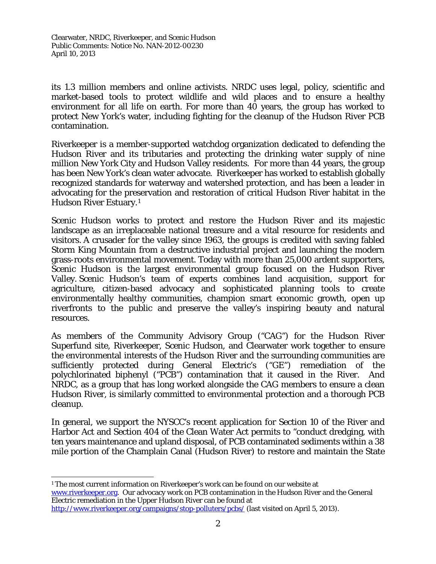its 1.3 million members and online activists. NRDC uses legal, policy, scientific and market-based tools to protect wildlife and wild places and to ensure a healthy environment for all life on earth. For more than 40 years, the group has worked to protect New York's water, including fighting for the cleanup of the Hudson River PCB contamination.

Riverkeeper is a member-supported watchdog organization dedicated to defending the Hudson River and its tributaries and protecting the drinking water supply of nine million New York City and Hudson Valley residents. For more than 44 years, the group has been New York's clean water advocate. Riverkeeper has worked to establish globally recognized standards for waterway and watershed protection, and has been a leader in advocating for the preservation and restoration of critical Hudson River habitat in the Hudson River Estuary.1

Scenic Hudson works to protect and restore the Hudson River and its majestic landscape as an irreplaceable national treasure and a vital resource for residents and visitors. A crusader for the valley since 1963, the groups is credited with saving fabled Storm King Mountain from a destructive industrial project and launching the modern grass-roots environmental movement. Today with more than 25,000 ardent supporters, Scenic Hudson is the largest environmental group focused on the Hudson River Valley. Scenic Hudson's team of experts combines land acquisition, support for agriculture, citizen-based advocacy and sophisticated planning tools to create environmentally healthy communities, champion smart economic growth, open up riverfronts to the public and preserve the valley's inspiring beauty and natural resources.

As members of the Community Advisory Group ("CAG") for the Hudson River Superfund site, Riverkeeper, Scenic Hudson, and Clearwater work together to ensure the environmental interests of the Hudson River and the surrounding communities are sufficiently protected during General Electric's ("GE") remediation of the polychlorinated biphenyl ("PCB") contamination that it caused in the River. And NRDC, as a group that has long worked alongside the CAG members to ensure a clean Hudson River, is similarly committed to environmental protection and a thorough PCB cleanup.

In general, we support the NYSCC's recent application for Section 10 of the River and Harbor Act and Section 404 of the Clean Water Act permits to "conduct dredging, with ten years maintenance and upland disposal, of PCB contaminated sediments within a 38 mile portion of the Champlain Canal (Hudson River) to restore and maintain the State

 $\overline{a}$ 1 The most current information on Riverkeeper's work can be found on our website at www.riverkeeper.org. Our advocacy work on PCB contamination in the Hudson River and the General Electric remediation in the Upper Hudson River can be found at http://www.riverkeeper.org/campaigns/stop-polluters/pcbs/ (last visited on April 5, 2013).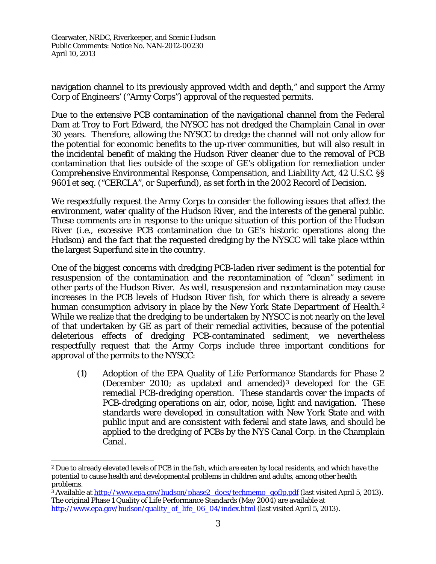navigation channel to its previously approved width and depth," and support the Army Corp of Engineers' ("Army Corps") approval of the requested permits.

Due to the extensive PCB contamination of the navigational channel from the Federal Dam at Troy to Fort Edward, the NYSCC has not dredged the Champlain Canal in over 30 years. Therefore, allowing the NYSCC to dredge the channel will not only allow for the potential for economic benefits to the up-river communities, but will also result in the incidental benefit of making the Hudson River cleaner due to the removal of PCB contamination that lies outside of the scope of GE's obligation for remediation under Comprehensive Environmental Response, Compensation, and Liability Act, 42 U.S.C. §§ 9601 *et seq.* ("CERCLA", or Superfund), as set forth in the 2002 Record of Decision.

We respectfully request the Army Corps to consider the following issues that affect the environment, water quality of the Hudson River, and the interests of the general public. These comments are in response to the unique situation of this portion of the Hudson River (*i.e.*, excessive PCB contamination due to GE's historic operations along the Hudson) and the fact that the requested dredging by the NYSCC will take place within the largest Superfund site in the country.

One of the biggest concerns with dredging PCB-laden river sediment is the potential for resuspension of the contamination and the recontamination of "clean" sediment in other parts of the Hudson River. As well, resuspension and recontamination may cause increases in the PCB levels of Hudson River fish, for which there is already a severe human consumption advisory in place by the New York State Department of Health.<sup>2</sup> While we realize that the dredging to be undertaken by NYSCC is not nearly on the level of that undertaken by GE as part of their remedial activities, because of the potential deleterious effects of dredging PCB-contaminated sediment, we nevertheless respectfully request that the Army Corps include three important conditions for approval of the permits to the NYSCC:

(1) Adoption of the EPA Quality of Life Performance Standards for Phase 2 (December 2010; as updated and amended)3 developed for the GE remedial PCB-dredging operation. These standards cover the impacts of PCB-dredging operations on air, odor, noise, light and navigation. These standards were developed in consultation with New York State and with public input and are consistent with federal and state laws, and should be applied to the dredging of PCBs by the NYS Canal Corp. in the Champlain Canal.

 $\overline{a}$ 2 Due to already elevated levels of PCB in the fish, which are eaten by local residents, and which have the potential to cause health and developmental problems in children and adults, among other health

<sup>&</sup>lt;sup>3</sup> Available at http://www.epa.gov/hudson/phase2 docs/techmemo qoflp.pdf (last visited April 5, 2013). The original Phase 1 Quality of Life Performance Standards (May 2004) are available at http://www.epa.gov/hudson/quality\_of\_life\_06\_04/index.html (last visited April 5, 2013).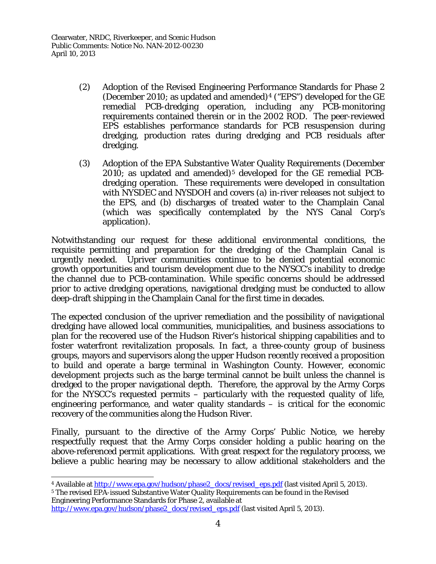- (2) Adoption of the Revised Engineering Performance Standards for Phase 2 (December 2010; as updated and amended)<sup>4</sup> ("EPS") developed for the GE remedial PCB-dredging operation, including any PCB-monitoring requirements contained therein or in the 2002 ROD. The peer-reviewed EPS establishes performance standards for PCB resuspension during dredging, production rates during dredging and PCB residuals after dredging.
- (3) Adoption of the EPA Substantive Water Quality Requirements (December  $2010$ ; as updated and amended)<sup>5</sup> developed for the GE remedial PCBdredging operation. These requirements were developed in consultation with NYSDEC and NYSDOH and covers (a) in-river releases not subject to the EPS, and (b) discharges of treated water to the Champlain Canal (which was specifically contemplated by the NYS Canal Corp's application).

Notwithstanding our request for these additional environmental conditions, the requisite permitting and preparation for the dredging of the Champlain Canal is urgently needed. Upriver communities continue to be denied potential economic growth opportunities and tourism development due to the NYSCC's inability to dredge the channel due to PCB-contamination. While specific concerns should be addressed prior to active dredging operations, navigational dredging must be conducted to allow deep-draft shipping in the Champlain Canal for the first time in decades.

The expected conclusion of the upriver remediation and the possibility of navigational dredging have allowed local communities, municipalities, and business associations to plan for the recovered use of the Hudson River's historical shipping capabilities and to foster waterfront revitalization proposals. In fact, a three-county group of business groups, mayors and supervisors along the upper Hudson recently received a proposition to build and operate a barge terminal in Washington County. However, economic development projects such as the barge terminal cannot be built unless the channel is dredged to the proper navigational depth. Therefore, the approval by the Army Corps for the NYSCC's requested permits – particularly with the requested quality of life, engineering performance, and water quality standards – is critical for the economic recovery of the communities along the Hudson River.

Finally, pursuant to the directive of the Army Corps' Public Notice, we hereby respectfully request that the Army Corps consider holding a public hearing on the above-referenced permit applications. With great respect for the regulatory process, we believe a public hearing may be necessary to allow additional stakeholders and the

<sup>5</sup> The revised EPA-issued Substantive Water Quality Requirements can be found in the Revised Engineering Performance Standards for Phase 2, available at

 $\overline{a}$ <sup>4</sup> Available at http://www.epa.gov/hudson/phase2\_docs/revised\_eps.pdf (last visited April 5, 2013).

http://www.epa.gov/hudson/phase2\_docs/revised\_eps.pdf (last visited April 5, 2013).